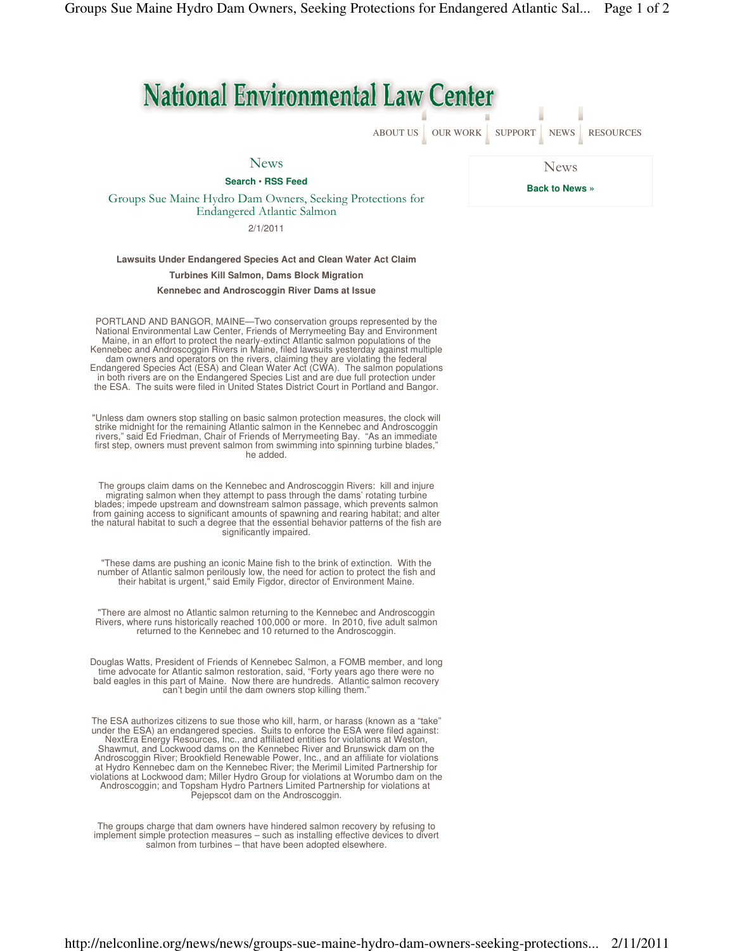